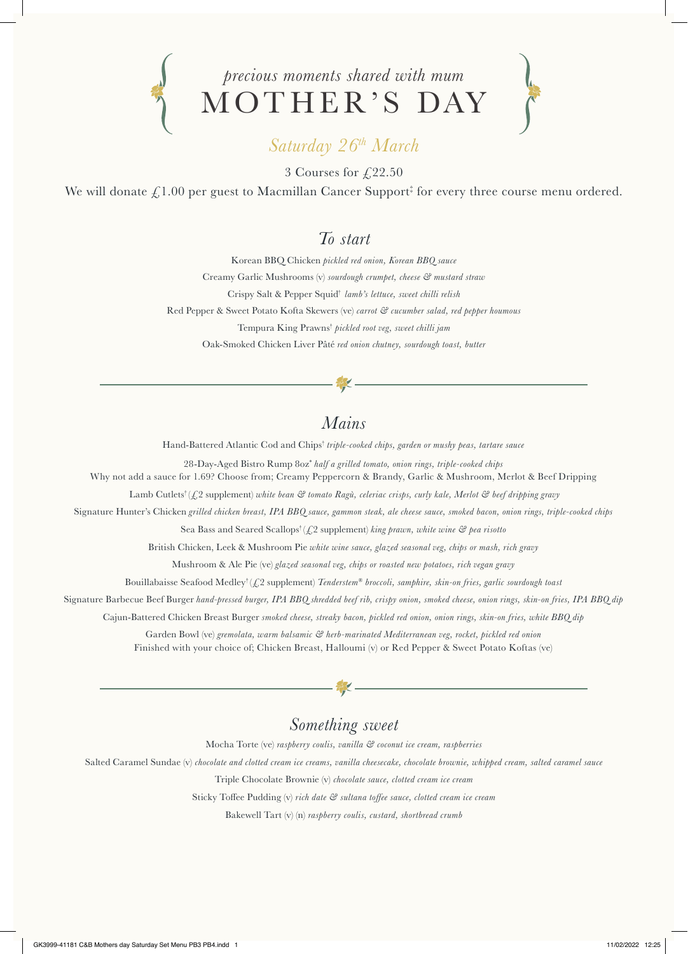

# *Saturday 26th March*

3 Courses for  $\sqrt{22.50}$ 

We will donate  $\pounds 1.00$  per guest to Macmillan Cancer Support‡ for every three course menu ordered.

## *To start*

Korean BBQ Chicken *pickled red onion, Korean BBQ sauce* Creamy Garlic Mushrooms (v) *sourdough crumpet, cheese & mustard straw* Crispy Salt & Pepper Squid† *lamb's lettuce, sweet chilli relish* Red Pepper & Sweet Potato Kofta Skewers (ve) *carrot & cucumber salad, red pepper houmous* Tempura King Prawns† *pickled root veg, sweet chilli jam* Oak-Smoked Chicken Liver Pâté *red onion chutney, sourdough toast, butter*

## *Mains*

Hand-Battered Atlantic Cod and Chips† *triple-cooked chips, garden or mushy peas, tartare sauce* 

28-Day-Aged Bistro Rump 8oz\* *half a grilled tomato, onion rings, triple-cooked chips*

Why not add a sauce for 1.69? Choose from; Creamy Peppercorn & Brandy, Garlic & Mushroom, Merlot & Beef Dripping

Lamb Cutlets† (£2 supplement) *white bean & tomato Ragù, celeriac crisps, curly kale, Merlot & beef dripping gravy*

Signature Hunter's Chicken *grilled chicken breast, IPA BBQ sauce, gammon steak, ale cheese sauce, smoked bacon, onion rings, triple-cooked chips*

Sea Bass and Seared Scallops† (£2 supplement) *king prawn, white wine & pea risotto*

British Chicken, Leek & Mushroom Pie *white wine sauce, glazed seasonal veg, chips or mash, rich gravy*

Mushroom & Ale Pie (ve) *glazed seasonal veg, chips or roasted new potatoes, rich vegan gravy*

Bouillabaisse Seafood Medley† (£2 supplement) *Tenderstem® broccoli, samphire, skin-on fries, garlic sourdough toast*

Signature Barbecue Beef Burger *hand-pressed burger, IPA BBQ shredded beef rib, crispy onion, smoked cheese, onion rings, skin-on fries, IPA BBQ dip*

Cajun-Battered Chicken Breast Burger *smoked cheese, streaky bacon, pickled red onion, onion rings, skin-on fries, white BBQ dip*

Garden Bowl (ve) *gremolata, warm balsamic & herb-marinated Mediterranean veg, rocket, pickled red onion* Finished with your choice of; Chicken Breast, Halloumi (v) or Red Pepper & Sweet Potato Koftas (ve)

#### *Something sweet*

Mocha Torte (ve) *raspberry coulis, vanilla & coconut ice cream, raspberries*

Salted Caramel Sundae (v) *chocolate and clotted cream ice creams, vanilla cheesecake, chocolate brownie, whipped cream, salted caramel sauce*

Triple Chocolate Brownie (v) *chocolate sauce, clotted cream ice cream*

Sticky Toffee Pudding (v) *rich date & sultana toffee sauce, clotted cream ice cream*

Bakewell Tart (v) (n) *raspberry coulis, custard, shortbread crumb*